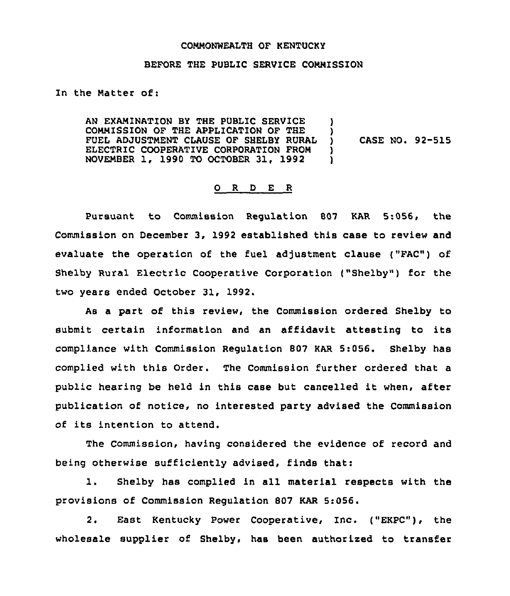### COMMONWEALTH OF KENTUCKY

#### BEFORE THE PUBLIC SERVICE COMMISSION

In the Matter of:

AN EXAMINATION BY THE PUBLIC SERVICE COMMISSION OF THE APPLICATION OF THE FUEL ADJUSTMENT CLAUSE OF SHELBY RURAL ELECTRIC COOPERATIVE CORPORATION FROM NOVEMBER 1, 1990 TO OCTOBER 31, 1992 )  $\mathcal{L}$ ) CASE NO. 92-515  $\lambda$ 1

#### ORDER

Pursuant to Commission Regulation 807 KAR 5:056, the Commission on December 3, 1992 established this case to review and evaluate the operation of the fuel adjustment clause ("FAC") of Shelby Rural Electric Cooperative Corporation ("Shelby") for the two years ended October 31, 1992.

As a part of this review, the Commission ordered Shelby to submit certain information and an affidavit attesting to its compliance with Commission Regulation 807 KAR 5:056. Shelby has complied with this Order. The Commission further ordered that a public hearing be held in this case but cancelled it when, after publication of notice, no interested party advised the Commission of its intention to attend.

The Commission, having considered the evidence of record and being otherwise sufficiently advised, finds that:

1. Shelby has complied in all material respects with the provisions of Commission Regulation 807 KAR 5:056.

2. East Kentucky Power Cooperative, Inc. ("EKPC"), the wholesale supplier of Shelby, has been authorized to transfer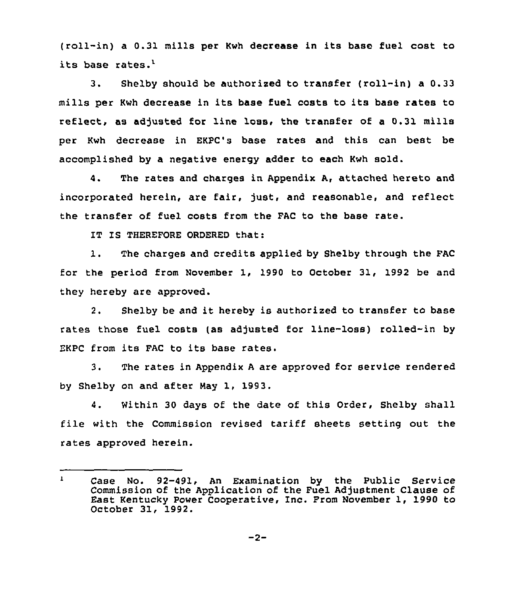(roll-in) <sup>a</sup> 0.31 mills per Kwh decrease in its base fuel cost to its base rates.'.

 $\overline{3}$ . Shelby should be authorized to transfer (roll-in) a 0.33 mills per Kwh decrease in its base fuel costs to its base rates to reflect, as adjusted for line loss, the transfer of a 0.31 mills per Kwh decrease in EKPC's base rates and this can best be accomplished by a negative energy adder to each Kwh sold.

4. The rates and charges in Appendix A, attached hereto and incorporated herein, are fair, just, and reasonable, and reflect the transfer of fuel costs from the FAC to the base rate.

IT IS THEREFORE ORDEREO that:

1. The charges and credits applied by Shelby through the FAC for the period from November 1, 1990 to October 31, 1992 be and they hereby are approved.

2. Shelby be and it hereby is authorized to transfer to base rates those fuel costs (as adjusted for line-loss) rolled-in by EKPC from its FAC to its base rates.

3. The rates in Appendix <sup>A</sup> are approved for service rendered by Shelby on and after Nay 1, 1993.

4. Within 30 days of the date of this Order, Shelby shall file with the Commission revised tariff sheets Betting out the rates approved herein.

Case No. 92-491, An Examination by the Public Service  $\mathbf{1}$ Commission of the Application of the Fuel Adjustment Clause of East Kentucky Power Cooperative, Inc, From November 1, 1990 to October 31, 1992.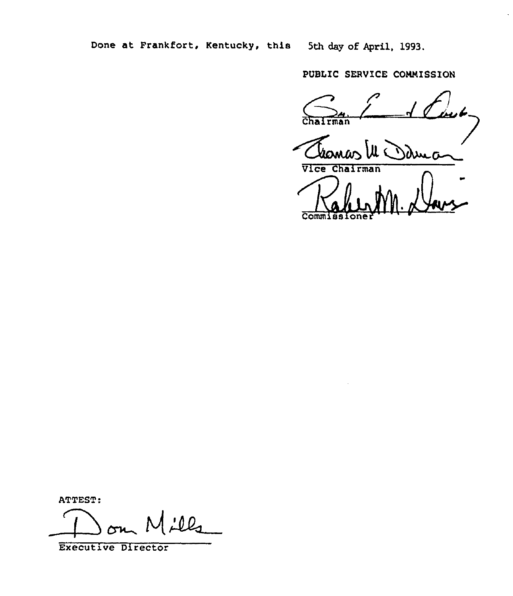Done at Frankfort, Kentucky, this 5th day of April, 1993.

PUBLIC SERVICE COMMISSION

PUBLIC<br>Chairma Thomas III Dame

Comm

ATTEST:

 $\perp$   $\circ$ 

Executive Director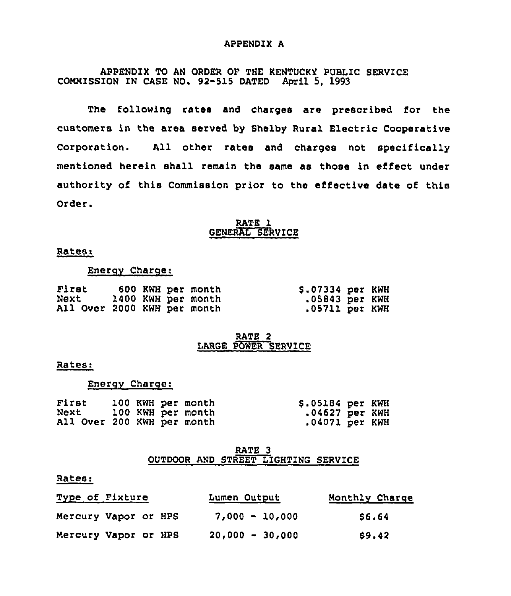#### APPENDIX A

APPENDIX TO AN ORDER OF THE KENTUCKY PUBLIC SERVICE COMMISSION IN CASE NO. 92-515 DATED April 5, 1993

The following rates and charges are prescribed for the customers in the area served by Shelby Rural Electric Cooperative Corporation. All other rates and charges not specifically mentioned herein shall remain the same as those in effect under authority of this Commission prior to the effective date of this Order.

## RATE 1 GENERAL SERVICE

## Rates:

### Enerqv Charqe:

| First                       |  | 600 KWH per month  | \$.07334 per KWH |  |
|-----------------------------|--|--------------------|------------------|--|
| Next                        |  | 1400 KWH per month | $.05843$ per KWH |  |
| All Over 2000 KWH per month |  |                    | .05711 per KWH   |  |

#### RATE 2 LARGE POWER SERVICE

### Rates:

## Enerqy Charqe:

| First                      |  | 100 KWH per month | \$.05184 per KWH |  |
|----------------------------|--|-------------------|------------------|--|
| Next                       |  | 100 KWH per month | $.04627$ per KWH |  |
| All Over 200 KWH per month |  |                   | .04071 per KWH   |  |

## RATE 3 OUTDOOR AND STREET LIGHTING SERVICE

## Rates:

| Type of Fixture      | Lumen Output      | Monthly Charge |  |  |
|----------------------|-------------------|----------------|--|--|
| Mercury Vapor or HPS | $7,000 - 10,000$  | S6.64          |  |  |
| Mercury Vapor or HPS | $20,000 - 30,000$ | \$9.42         |  |  |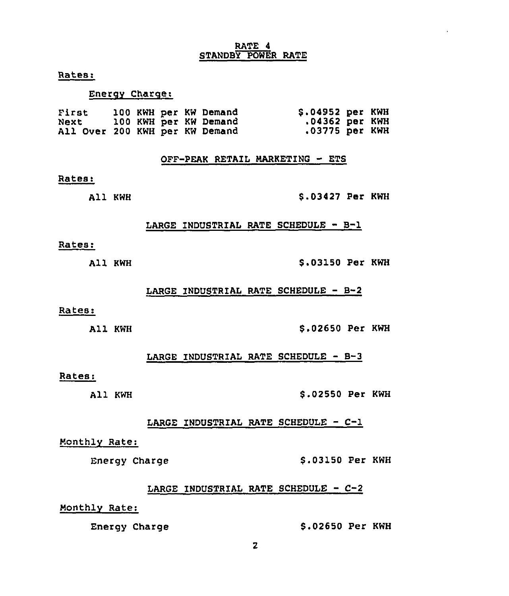# RATE 4 STANDBY POWER RATE

Rates:

## Energy Charge:

| First                          |  |  | 100 KWH per KW Demand | \$.04952 per KWH |  |
|--------------------------------|--|--|-----------------------|------------------|--|
| Next                           |  |  | 100 KWH per KW Demand | .04362 per KWH   |  |
| All Over 200 KWH per KW Demand |  |  |                       | .03775 per KWH   |  |

OFF-PEAK RETAIL MARKETING - ETS

#### Rates:

All KWH

\$ .03427 Per KWH

### LARGE INDUSTRIAL RATE SCHEDULE - B-1

### Rates:

All KWH

S.03150 Per KWH

### LARGE INDUSTRIAL RATE SCHEDULE -  $B-2$

#### Rates:

All KWH

#### 5.02650 Per KWH

LARGE INDUSTRIAL RATE SCHEDULE — B-3

## Rates:

All KWH \$ .02550 Per KWH

LARGE INDUSTRIAL RATE SCHEDULE — C-1

## Monthly Rate:

Energy Charge 5.03150 Per KWH

# LARGE INDUSTRIAL RATE SCHEDULE  $C-2$

Monthly Rate:

# Energy Charge 5.02650 Per KWH